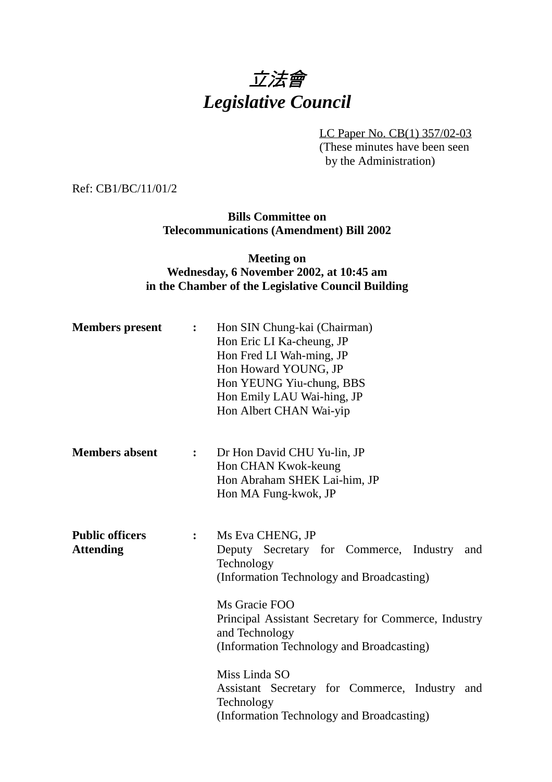# 立法會 *Legislative Council*

LC Paper No. CB(1) 357/02-03 (These minutes have been seen by the Administration)

Ref: CB1/BC/11/01/2

**Bills Committee on Telecommunications (Amendment) Bill 2002**

#### **Meeting on Wednesday, 6 November 2002, at 10:45 am in the Chamber of the Legislative Council Building**

| <b>Members</b> present                     | $\ddot{\bullet}$ | Hon SIN Chung-kai (Chairman)<br>Hon Eric LI Ka-cheung, JP<br>Hon Fred LI Wah-ming, JP<br>Hon Howard YOUNG, JP<br>Hon YEUNG Yiu-chung, BBS<br>Hon Emily LAU Wai-hing, JP<br>Hon Albert CHAN Wai-yip     |
|--------------------------------------------|------------------|--------------------------------------------------------------------------------------------------------------------------------------------------------------------------------------------------------|
| <b>Members absent</b>                      | $\ddot{\bullet}$ | Dr Hon David CHU Yu-lin, JP<br>Hon CHAN Kwok-keung<br>Hon Abraham SHEK Lai-him, JP<br>Hon MA Fung-kwok, JP                                                                                             |
| <b>Public officers</b><br><b>Attending</b> | $\ddot{\bullet}$ | Ms Eva CHENG, JP<br>Deputy Secretary for Commerce, Industry<br>and<br>Technology<br>(Information Technology and Broadcasting)<br>Ms Gracie FOO<br>Principal Assistant Secretary for Commerce, Industry |
|                                            |                  | and Technology<br>(Information Technology and Broadcasting)<br>Miss Linda SO<br>Assistant Secretary for Commerce, Industry and<br>Technology                                                           |
|                                            |                  | (Information Technology and Broadcasting)                                                                                                                                                              |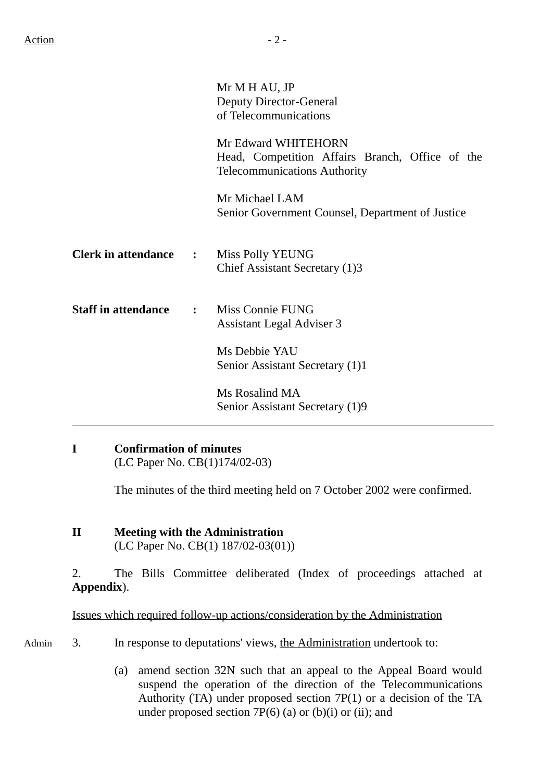|                            |                      | Mr M H AU, JP<br><b>Deputy Director-General</b><br>of Telecommunications                                      |  |
|----------------------------|----------------------|---------------------------------------------------------------------------------------------------------------|--|
|                            |                      | Mr Edward WHITEHORN<br>Head, Competition Affairs Branch, Office of the<br><b>Telecommunications Authority</b> |  |
|                            |                      | Mr Michael LAM<br>Senior Government Counsel, Department of Justice                                            |  |
| <b>Clerk in attendance</b> | $\sim$ $\sim$ $\sim$ | Miss Polly YEUNG<br>Chief Assistant Secretary (1)3                                                            |  |
| <b>Staff in attendance</b> | $\mathbf{r}$         | Miss Connie FUNG<br>Assistant Legal Adviser 3                                                                 |  |
|                            |                      | Ms Debbie YAU<br>Senior Assistant Secretary (1)1                                                              |  |
|                            |                      | Ms Rosalind MA<br>Senior Assistant Secretary (1)9                                                             |  |

#### **I Confirmation of minutes** (LC Paper No. CB(1)174/02-03)

The minutes of the third meeting held on 7 October 2002 were confirmed.

**II Meeting with the Administration** (LC Paper No. CB(1) 187/02-03(01))

2. The Bills Committee deliberated (Index of proceedings attached at **Appendix**).

Issues which required follow-up actions/consideration by the Administration

- Admin 3. In response to deputations' views, the Administration undertook to:
	- (a) amend section 32N such that an appeal to the Appeal Board would suspend the operation of the direction of the Telecommunications Authority (TA) under proposed section 7P(1) or a decision of the TA under proposed section  $7P(6)$  (a) or (b)(i) or (ii); and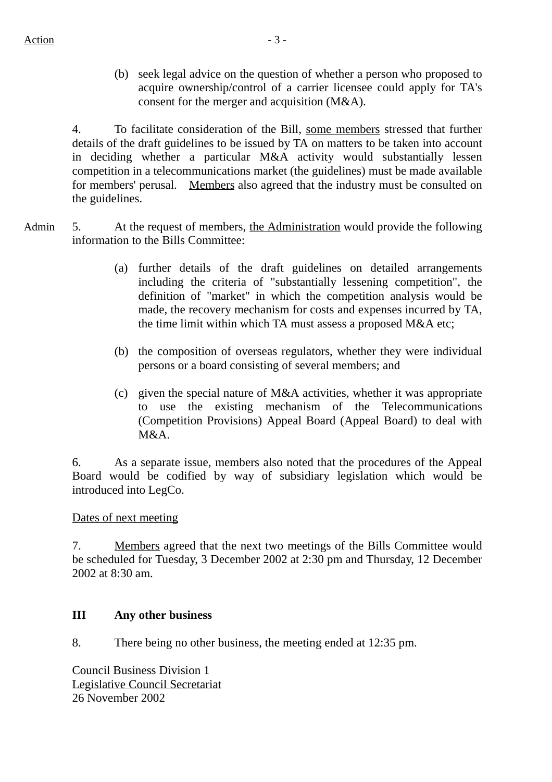(b) seek legal advice on the question of whether a person who proposed to acquire ownership/control of a carrier licensee could apply for TA's consent for the merger and acquisition (M&A).

4. To facilitate consideration of the Bill, some members stressed that further details of the draft guidelines to be issued by TA on matters to be taken into account in deciding whether a particular M&A activity would substantially lessen competition in a telecommunications market (the guidelines) must be made available for members' perusal. Members also agreed that the industry must be consulted on the guidelines.

- Admin 5. At the request of members, the Administration would provide the following information to the Bills Committee:
	- (a) further details of the draft guidelines on detailed arrangements including the criteria of "substantially lessening competition", the definition of "market" in which the competition analysis would be made, the recovery mechanism for costs and expenses incurred by TA, the time limit within which TA must assess a proposed M&A etc;
	- (b) the composition of overseas regulators, whether they were individual persons or a board consisting of several members; and
	- (c) given the special nature of M&A activities, whether it was appropriate to use the existing mechanism of the Telecommunications (Competition Provisions) Appeal Board (Appeal Board) to deal with  $M&A$ .

6. As a separate issue, members also noted that the procedures of the Appeal Board would be codified by way of subsidiary legislation which would be introduced into LegCo.

Dates of next meeting

7. Members agreed that the next two meetings of the Bills Committee would be scheduled for Tuesday, 3 December 2002 at 2:30 pm and Thursday, 12 December 2002 at 8:30 am.

## **III Any other business**

8. There being no other business, the meeting ended at 12:35 pm.

Council Business Division 1 Legislative Council Secretariat 26 November 2002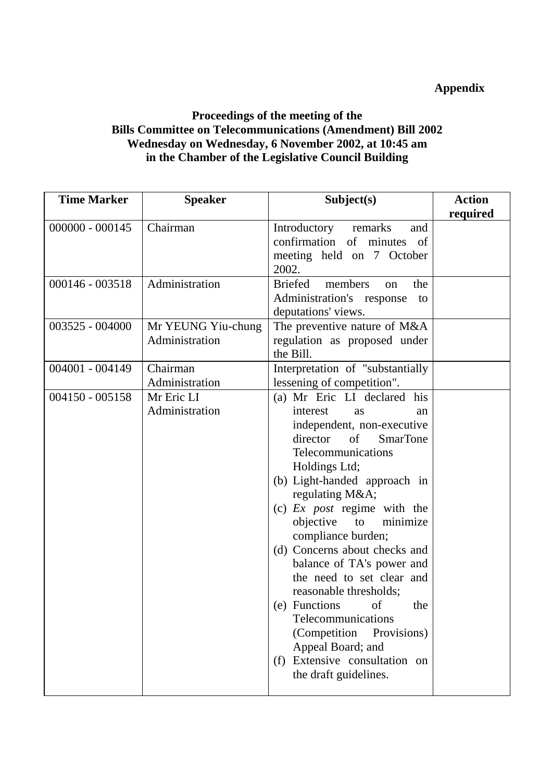## **Appendix**

#### **Proceedings of the meeting of the Bills Committee on Telecommunications (Amendment) Bill 2002 Wednesday on Wednesday, 6 November 2002, at 10:45 am in the Chamber of the Legislative Council Building**

| <b>Time Marker</b> | <b>Speaker</b>                       | Subject(s)                                                                                                                                                                                                                                                                                                                                                                                                                                                                                                                                                                                                 | <b>Action</b> |
|--------------------|--------------------------------------|------------------------------------------------------------------------------------------------------------------------------------------------------------------------------------------------------------------------------------------------------------------------------------------------------------------------------------------------------------------------------------------------------------------------------------------------------------------------------------------------------------------------------------------------------------------------------------------------------------|---------------|
|                    |                                      |                                                                                                                                                                                                                                                                                                                                                                                                                                                                                                                                                                                                            | required      |
| $000000 - 000145$  | Chairman                             | Introductory<br>remarks<br>and<br>confirmation of minutes of<br>meeting held on 7 October<br>2002.                                                                                                                                                                                                                                                                                                                                                                                                                                                                                                         |               |
| $000146 - 003518$  | Administration                       | <b>Briefed</b><br>members<br>the<br>on<br>Administration's response<br>to<br>deputations' views.                                                                                                                                                                                                                                                                                                                                                                                                                                                                                                           |               |
| $003525 - 004000$  | Mr YEUNG Yiu-chung<br>Administration | The preventive nature of M&A<br>regulation as proposed under<br>the Bill.                                                                                                                                                                                                                                                                                                                                                                                                                                                                                                                                  |               |
| $004001 - 004149$  | Chairman<br>Administration           | Interpretation of "substantially<br>lessening of competition".                                                                                                                                                                                                                                                                                                                                                                                                                                                                                                                                             |               |
| $004150 - 005158$  | Mr Eric LI<br>Administration         | (a) Mr Eric LI declared his<br>interest<br><b>as</b><br>an<br>independent, non-executive<br>director<br>of<br><b>SmarTone</b><br>Telecommunications<br>Holdings Ltd;<br>(b) Light-handed approach in<br>regulating M&A<br>(c) $Ex$ <i>post</i> regime with the<br>minimize<br>objective<br>to<br>compliance burden;<br>(d) Concerns about checks and<br>balance of TA's power and<br>the need to set clear and<br>reasonable thresholds;<br>(e) Functions of<br>the<br>Telecommunications<br>(Competition<br>Provisions)<br>Appeal Board; and<br>Extensive consultation on<br>(f)<br>the draft guidelines. |               |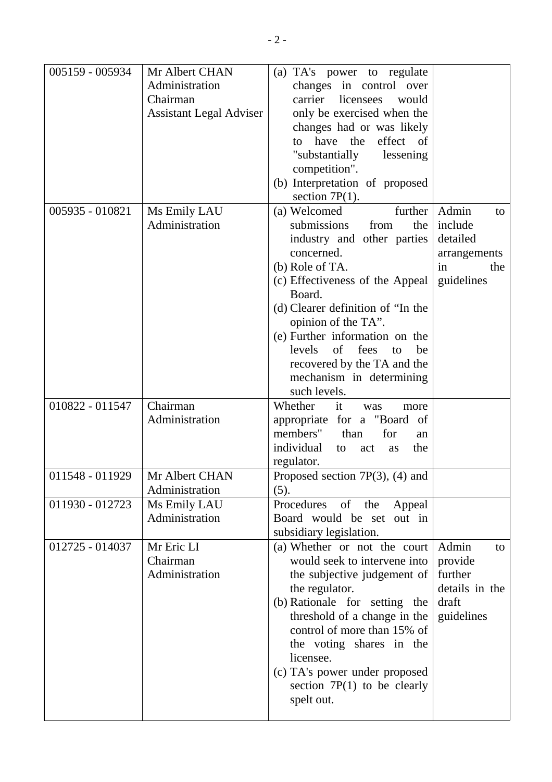| 005159 - 005934 | Mr Albert CHAN                 | (a) TA's power to regulate           |                |
|-----------------|--------------------------------|--------------------------------------|----------------|
|                 | Administration                 | changes in control over              |                |
|                 | Chairman                       | carrier licensees<br>would           |                |
|                 | <b>Assistant Legal Adviser</b> | only be exercised when the           |                |
|                 |                                | changes had or was likely            |                |
|                 |                                | effect of<br>have the<br>to          |                |
|                 |                                | "substantially<br>lessening          |                |
|                 |                                | competition".                        |                |
|                 |                                | (b) Interpretation of proposed       |                |
|                 |                                | section $7P(1)$ .                    |                |
| 005935 - 010821 | Ms Emily LAU                   | (a) Welcomed<br>further              | Admin<br>to    |
|                 | Administration                 | submissions<br>from<br>the           | include        |
|                 |                                | industry and other parties           | detailed       |
|                 |                                | concerned.                           | arrangements   |
|                 |                                | (b) Role of TA.                      | in<br>the      |
|                 |                                | (c) Effectiveness of the Appeal      | guidelines     |
|                 |                                | Board.                               |                |
|                 |                                | (d) Clearer definition of "In the    |                |
|                 |                                | opinion of the TA".                  |                |
|                 |                                | (e) Further information on the       |                |
|                 |                                | of<br>levels<br>fees<br>to<br>be     |                |
|                 |                                | recovered by the TA and the          |                |
|                 |                                | mechanism in determining             |                |
|                 |                                | such levels.                         |                |
| 010822 - 011547 | Chairman                       | it<br>Whether<br>was<br>more         |                |
|                 | Administration                 | appropriate for a "Board of          |                |
|                 |                                | members"<br>than<br>for<br>an        |                |
|                 |                                | individual<br>the<br>to<br>act<br>as |                |
|                 |                                | regulator.                           |                |
| 011548 - 011929 | Mr Albert CHAN                 | Proposed section $7P(3)$ , (4) and   |                |
|                 | Administration                 | (5).                                 |                |
| 011930 - 012723 | Ms Emily LAU                   | of<br>Procedures<br>the<br>Appeal    |                |
|                 | Administration                 | Board would be set out in            |                |
|                 |                                | subsidiary legislation.              |                |
| 012725 - 014037 | Mr Eric LI                     | (a) Whether or not the court         | Admin<br>to    |
|                 | Chairman                       | would seek to intervene into         | provide        |
|                 | Administration                 | the subjective judgement of          | further        |
|                 |                                | the regulator.                       | details in the |
|                 |                                | (b) Rationale for setting the        | draft          |
|                 |                                | threshold of a change in the         | guidelines     |
|                 |                                | control of more than 15% of          |                |
|                 |                                | the voting shares in the             |                |
|                 |                                | licensee.                            |                |
|                 |                                | (c) TA's power under proposed        |                |
|                 |                                | section $7P(1)$ to be clearly        |                |
|                 |                                | spelt out.                           |                |